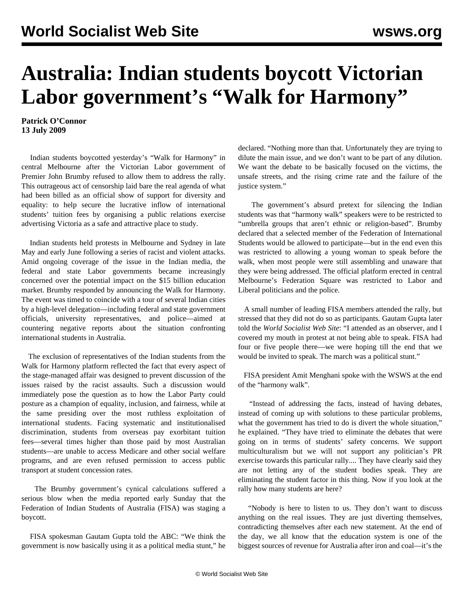## **Australia: Indian students boycott Victorian Labor government's "Walk for Harmony"**

**Patrick O'Connor 13 July 2009**

 Indian students boycotted yesterday's "Walk for Harmony" in central Melbourne after the Victorian Labor government of Premier John Brumby refused to allow them to address the rally. This outrageous act of censorship laid bare the real agenda of what had been billed as an official show of support for diversity and equality: to help secure the lucrative inflow of international students' tuition fees by organising a public relations exercise advertising Victoria as a safe and attractive place to study.

 Indian students held protests in Melbourne and Sydney in late May and early June following a series of racist and violent attacks. Amid ongoing coverage of the issue in the Indian media, the federal and state Labor governments became increasingly concerned over the potential impact on the \$15 billion education market. Brumby responded by announcing the Walk for Harmony. The event was timed to coincide with a tour of several Indian cities by a high-level delegation—including federal and state government officials, university representatives, and police—aimed at countering negative reports about the situation confronting international students in Australia.

 The exclusion of representatives of the Indian students from the Walk for Harmony platform reflected the fact that every aspect of the stage-managed affair was designed to prevent discussion of the issues raised by the racist assaults. Such a discussion would immediately pose the question as to how the Labor Party could posture as a champion of equality, inclusion, and fairness, while at the same presiding over the most ruthless exploitation of international students. Facing systematic and institutionalised discrimination, students from overseas pay exorbitant tuition fees—several times higher than those paid by most Australian students—are unable to access Medicare and other social welfare programs, and are even refused permission to access public transport at student concession rates.

 The Brumby government's cynical calculations suffered a serious blow when the media reported early Sunday that the Federation of Indian Students of Australia (FISA) was staging a boycott.

 FISA spokesman Gautam Gupta told the ABC: "We think the government is now basically using it as a political media stunt," he declared. "Nothing more than that. Unfortunately they are trying to dilute the main issue, and we don't want to be part of any dilution. We want the debate to be basically focused on the victims, the unsafe streets, and the rising crime rate and the failure of the justice system."

 The government's absurd pretext for silencing the Indian students was that "harmony walk" speakers were to be restricted to "umbrella groups that aren't ethnic or religion-based". Brumby declared that a selected member of the Federation of International Students would be allowed to participate—but in the end even this was restricted to allowing a young woman to speak before the walk, when most people were still assembling and unaware that they were being addressed. The official platform erected in central Melbourne's Federation Square was restricted to Labor and Liberal politicians and the police.

 A small number of leading FISA members attended the rally, but stressed that they did not do so as participants. Gautam Gupta later told the *World Socialist Web Site*: "I attended as an observer, and I covered my mouth in protest at not being able to speak. FISA had four or five people there—we were hoping till the end that we would be invited to speak. The march was a political stunt."

 FISA president Amit Menghani spoke with the WSWS at the end of the "harmony walk".

 "Instead of addressing the facts, instead of having debates, instead of coming up with solutions to these particular problems, what the government has tried to do is divert the whole situation," he explained. "They have tried to eliminate the debates that were going on in terms of students' safety concerns. We support multiculturalism but we will not support any politician's PR exercise towards this particular rally.... They have clearly said they are not letting any of the student bodies speak. They are eliminating the student factor in this thing. Now if you look at the rally how many students are here?

 "Nobody is here to listen to us. They don't want to discuss anything on the real issues. They are just diverting themselves, contradicting themselves after each new statement. At the end of the day, we all know that the education system is one of the biggest sources of revenue for Australia after iron and coal—it's the